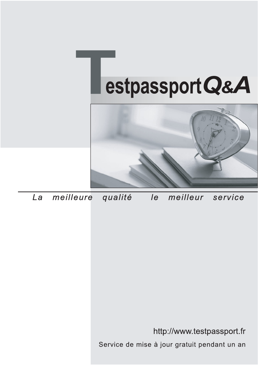



meilleure La qualité  $\overline{e}$ meilleur service

http://www.testpassport.fr

Service de mise à jour gratuit pendant un an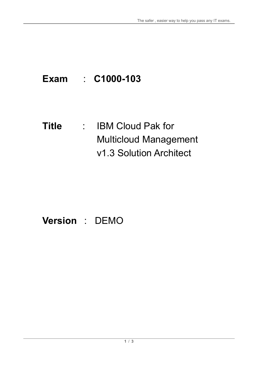## **Exam** : **C1000-103**

**Title** : IBM Cloud Pak for Multicloud Management v1.3 Solution Architect

## **Version** : DEMO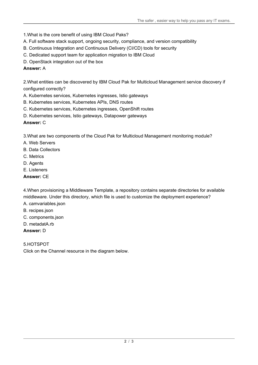- 1.What is the core benefit of using IBM Cloud Paks?
- A. Full software stack support, ongoing security, compliance, and version compatibility
- B. Continuous Integration and Continuous Delivery (CI/CD) tools for security
- C. Dedicated support team for application migration to IBM Cloud
- D. OpenStack integration out of the box

## **Answer:** A

2.What entities can be discovered by IBM Cloud Pak for Multicloud Management service discovery if configured correctly?

- A. Kubernetes services, Kubernetes ingresses, Istio gateways
- B. Kubernetes services, Kubernetes APIs, DNS routes
- C. Kubernetes services, Kubernetes ingresses, OpenShift routes
- D. Kubernetes services, Istio gateways, Datapower gateways

## **Answer:** C

3.What are two components of the Cloud Pak for Multicloud Management monitoring module?

- A. Web Servers
- B. Data Collectors
- C. Metrics
- D. Agents
- E. Listeners
- **Answer:** CE

4.When provisioning a Middleware Template, a repository contains separate directories for available middleware. Under this directory, which file is used to customize the deployment experience?

- A. camvariables.json
- B. recipes.json
- C. components.json
- D. metadatA.rb

**Answer:** D

5.HOTSPOT

Click on the Channel resource in the diagram below.